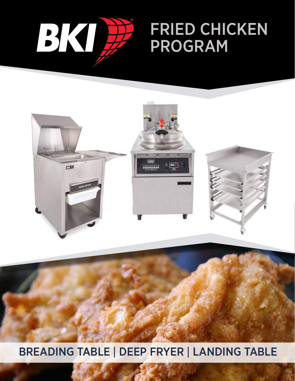

# FRIED CHICKEN PROGRAM



## BREADING TABLE | DEEP FRYER | LANDING TABLE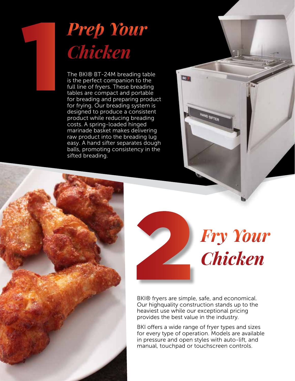# *Prep Your Chicken*

1

The BKI® BT-24M breading table is the perfect companion to the full line of fryers. These breading tables are compact and portable for breading and preparing product for frying. Our breading system is designed to produce a consistent product while reducing breading costs. A spring-loaded hinged marinade basket makes delivering raw product into the breading lug easy. A hand sifter separates dough balls, promoting consistency in the sifted breading.





BKI® fryers are simple, safe, and economical. Our highquality construction stands up to the heaviest use while our exceptional pricing provides the best value in the industry.

**BG** 

HAND SIFTER

BKI offers a wide range of fryer types and sizes for every type of operation. Models are available in pressure and open styles with auto-lift, and manual, touchpad or touchscreen controls.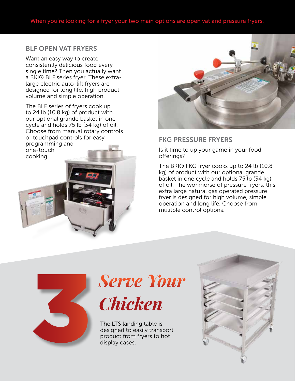#### BLF OPEN VAT FRYERS

Want an easy way to create consistently delicious food every single time? Then you actually want a BKI® BLF series fryer. These extralarge electric auto-lift fryers are designed for long life, high product volume and simple operation.

The BLF series of fryers cook up to 24 lb (10.8 kg) of product with our optional grande basket in one cycle and holds 75 lb (34 kg) of oil. Choose from manual rotary controls or touchpad controls for easy programming and one-touch cooking.



#### FKG PRESSURE FRYERS

Is it time to up your game in your food offerings?

The BKI® FKG fryer cooks up to 24 lb (10.8 kg) of product with our optional grande basket in one cycle and holds 75 lb (34 kg) of oil. The workhorse of pressure fryers, this extra large natural gas operated pressure fryer is designed for high volume, simple operation and long life. Choose from mulitple control options.



# *Serve Your Chicken*

The LTS landing table is designed to easily transport<br>product from fryers to hot